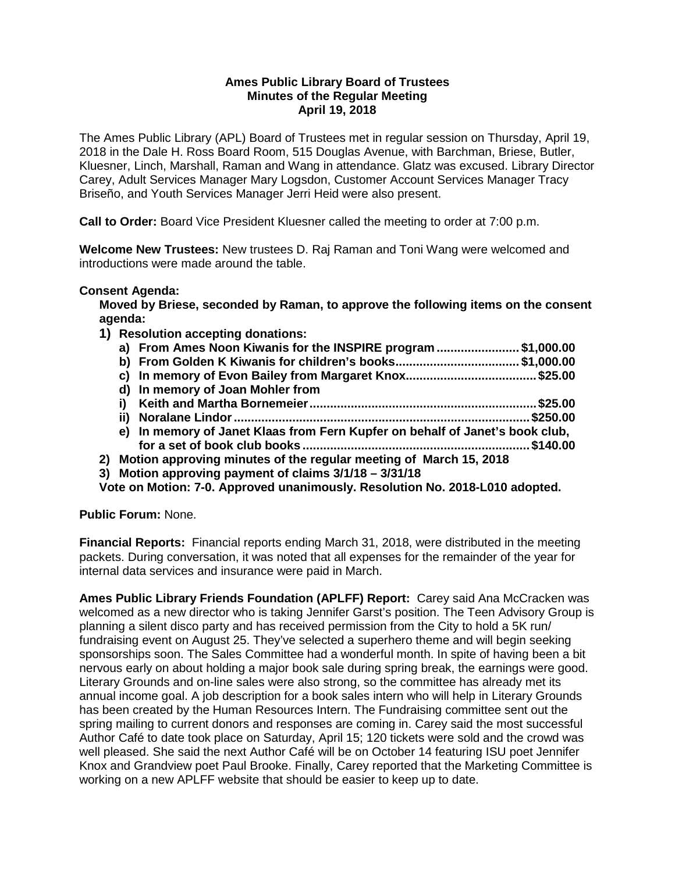## **Ames Public Library Board of Trustees Minutes of the Regular Meeting April 19, 2018**

The Ames Public Library (APL) Board of Trustees met in regular session on Thursday, April 19, 2018 in the Dale H. Ross Board Room, 515 Douglas Avenue, with Barchman, Briese, Butler, Kluesner, Linch, Marshall, Raman and Wang in attendance. Glatz was excused. Library Director Carey, Adult Services Manager Mary Logsdon, Customer Account Services Manager Tracy Briseño, and Youth Services Manager Jerri Heid were also present.

**Call to Order:** Board Vice President Kluesner called the meeting to order at 7:00 p.m.

**Welcome New Trustees:** New trustees D. Raj Raman and Toni Wang were welcomed and introductions were made around the table.

## **Consent Agenda:**

**Moved by Briese, seconded by Raman, to approve the following items on the consent agenda:**

**1) Resolution accepting donations:**

|  | a) From Ames Noon Kiwanis for the INSPIRE program \$1,000.00                 |  |
|--|------------------------------------------------------------------------------|--|
|  | b) From Golden K Kiwanis for children's books\$1,000.00                      |  |
|  |                                                                              |  |
|  | d) In memory of Joan Mohler from                                             |  |
|  |                                                                              |  |
|  |                                                                              |  |
|  | e) In memory of Janet Klaas from Fern Kupfer on behalf of Janet's book club, |  |
|  |                                                                              |  |
|  | 2) Motion approving minutes of the regular meeting of March 15, 2018         |  |
|  |                                                                              |  |

**3) Motion approving payment of claims 3/1/18 – 3/31/18**

**Vote on Motion: 7-0. Approved unanimously. Resolution No. 2018-L010 adopted.**

**Public Forum:** None.

**Financial Reports:** Financial reports ending March 31, 2018, were distributed in the meeting packets. During conversation, it was noted that all expenses for the remainder of the year for internal data services and insurance were paid in March.

**Ames Public Library Friends Foundation (APLFF) Report:** Carey said Ana McCracken was welcomed as a new director who is taking Jennifer Garst's position. The Teen Advisory Group is planning a silent disco party and has received permission from the City to hold a 5K run/ fundraising event on August 25. They've selected a superhero theme and will begin seeking sponsorships soon. The Sales Committee had a wonderful month. In spite of having been a bit nervous early on about holding a major book sale during spring break, the earnings were good. Literary Grounds and on-line sales were also strong, so the committee has already met its annual income goal. A job description for a book sales intern who will help in Literary Grounds has been created by the Human Resources Intern. The Fundraising committee sent out the spring mailing to current donors and responses are coming in. Carey said the most successful Author Café to date took place on Saturday, April 15; 120 tickets were sold and the crowd was well pleased. She said the next Author Café will be on October 14 featuring ISU poet Jennifer Knox and Grandview poet Paul Brooke. Finally, Carey reported that the Marketing Committee is working on a new APLFF website that should be easier to keep up to date.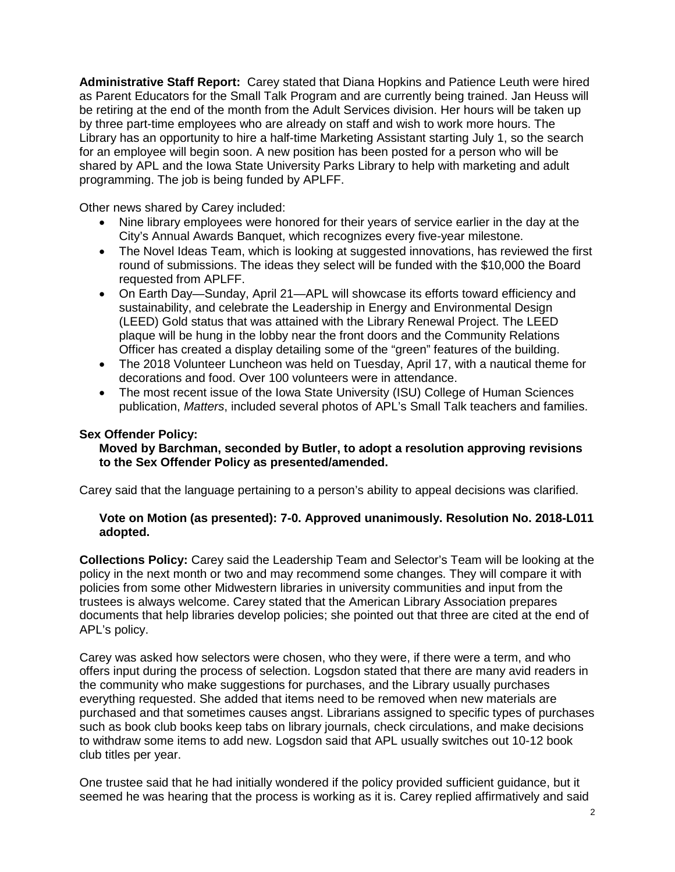**Administrative Staff Report:** Carey stated that Diana Hopkins and Patience Leuth were hired as Parent Educators for the Small Talk Program and are currently being trained. Jan Heuss will be retiring at the end of the month from the Adult Services division. Her hours will be taken up by three part-time employees who are already on staff and wish to work more hours. The Library has an opportunity to hire a half-time Marketing Assistant starting July 1, so the search for an employee will begin soon. A new position has been posted for a person who will be shared by APL and the Iowa State University Parks Library to help with marketing and adult programming. The job is being funded by APLFF.

Other news shared by Carey included:

- Nine library employees were honored for their years of service earlier in the day at the City's Annual Awards Banquet, which recognizes every five-year milestone.
- The Novel Ideas Team, which is looking at suggested innovations, has reviewed the first round of submissions. The ideas they select will be funded with the \$10,000 the Board requested from APLFF.
- On Earth Day—Sunday, April 21—APL will showcase its efforts toward efficiency and sustainability, and celebrate the Leadership in Energy and Environmental Design (LEED) Gold status that was attained with the Library Renewal Project. The LEED plaque will be hung in the lobby near the front doors and the Community Relations Officer has created a display detailing some of the "green" features of the building.
- The 2018 Volunteer Luncheon was held on Tuesday, April 17, with a nautical theme for decorations and food. Over 100 volunteers were in attendance.
- The most recent issue of the Iowa State University (ISU) College of Human Sciences publication, *Matters*, included several photos of APL's Small Talk teachers and families.

## **Sex Offender Policy:**

## **Moved by Barchman, seconded by Butler, to adopt a resolution approving revisions to the Sex Offender Policy as presented/amended.**

Carey said that the language pertaining to a person's ability to appeal decisions was clarified.

## **Vote on Motion (as presented): 7-0. Approved unanimously. Resolution No. 2018-L011 adopted.**

**Collections Policy:** Carey said the Leadership Team and Selector's Team will be looking at the policy in the next month or two and may recommend some changes. They will compare it with policies from some other Midwestern libraries in university communities and input from the trustees is always welcome. Carey stated that the American Library Association prepares documents that help libraries develop policies; she pointed out that three are cited at the end of APL's policy.

Carey was asked how selectors were chosen, who they were, if there were a term, and who offers input during the process of selection. Logsdon stated that there are many avid readers in the community who make suggestions for purchases, and the Library usually purchases everything requested. She added that items need to be removed when new materials are purchased and that sometimes causes angst. Librarians assigned to specific types of purchases such as book club books keep tabs on library journals, check circulations, and make decisions to withdraw some items to add new. Logsdon said that APL usually switches out 10-12 book club titles per year.

One trustee said that he had initially wondered if the policy provided sufficient guidance, but it seemed he was hearing that the process is working as it is. Carey replied affirmatively and said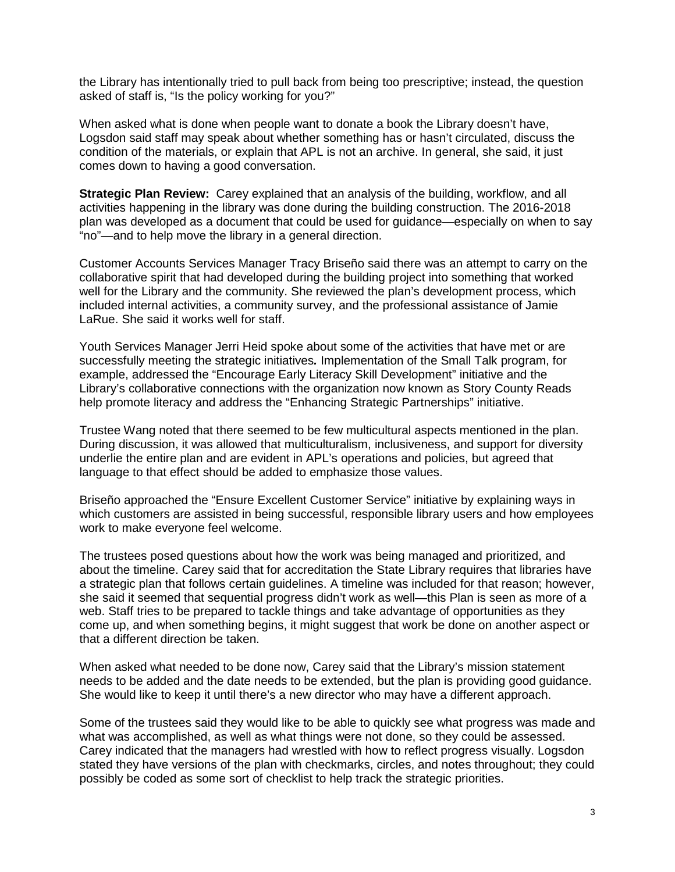the Library has intentionally tried to pull back from being too prescriptive; instead, the question asked of staff is, "Is the policy working for you?"

When asked what is done when people want to donate a book the Library doesn't have, Logsdon said staff may speak about whether something has or hasn't circulated, discuss the condition of the materials, or explain that APL is not an archive. In general, she said, it just comes down to having a good conversation.

**Strategic Plan Review:** Carey explained that an analysis of the building, workflow, and all activities happening in the library was done during the building construction. The 2016-2018 plan was developed as a document that could be used for guidance—especially on when to say "no"—and to help move the library in a general direction.

Customer Accounts Services Manager Tracy Briseño said there was an attempt to carry on the collaborative spirit that had developed during the building project into something that worked well for the Library and the community. She reviewed the plan's development process, which included internal activities, a community survey, and the professional assistance of Jamie LaRue. She said it works well for staff.

Youth Services Manager Jerri Heid spoke about some of the activities that have met or are successfully meeting the strategic initiatives*.* Implementation of the Small Talk program, for example, addressed the "Encourage Early Literacy Skill Development" initiative and the Library's collaborative connections with the organization now known as Story County Reads help promote literacy and address the "Enhancing Strategic Partnerships" initiative.

Trustee Wang noted that there seemed to be few multicultural aspects mentioned in the plan. During discussion, it was allowed that multiculturalism, inclusiveness, and support for diversity underlie the entire plan and are evident in APL's operations and policies, but agreed that language to that effect should be added to emphasize those values.

Briseño approached the "Ensure Excellent Customer Service" initiative by explaining ways in which customers are assisted in being successful, responsible library users and how employees work to make everyone feel welcome.

The trustees posed questions about how the work was being managed and prioritized, and about the timeline. Carey said that for accreditation the State Library requires that libraries have a strategic plan that follows certain guidelines. A timeline was included for that reason; however, she said it seemed that sequential progress didn't work as well—this Plan is seen as more of a web. Staff tries to be prepared to tackle things and take advantage of opportunities as they come up, and when something begins, it might suggest that work be done on another aspect or that a different direction be taken.

When asked what needed to be done now, Carey said that the Library's mission statement needs to be added and the date needs to be extended, but the plan is providing good guidance. She would like to keep it until there's a new director who may have a different approach.

Some of the trustees said they would like to be able to quickly see what progress was made and what was accomplished, as well as what things were not done, so they could be assessed. Carey indicated that the managers had wrestled with how to reflect progress visually. Logsdon stated they have versions of the plan with checkmarks, circles, and notes throughout; they could possibly be coded as some sort of checklist to help track the strategic priorities.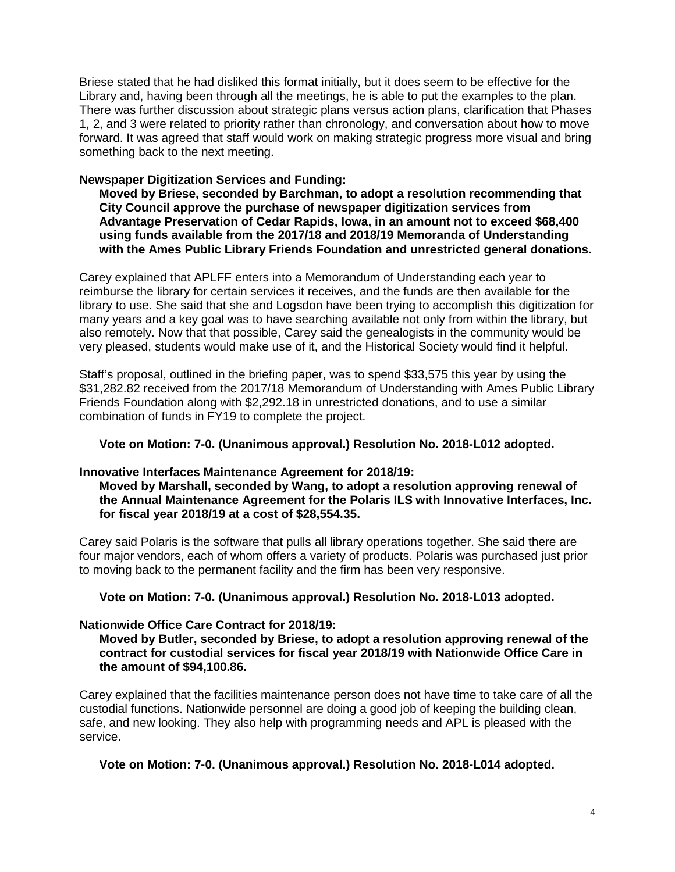Briese stated that he had disliked this format initially, but it does seem to be effective for the Library and, having been through all the meetings, he is able to put the examples to the plan. There was further discussion about strategic plans versus action plans, clarification that Phases 1, 2, and 3 were related to priority rather than chronology, and conversation about how to move forward. It was agreed that staff would work on making strategic progress more visual and bring something back to the next meeting.

#### **Newspaper Digitization Services and Funding:**

**Moved by Briese, seconded by Barchman, to adopt a resolution recommending that City Council approve the purchase of newspaper digitization services from Advantage Preservation of Cedar Rapids, Iowa, in an amount not to exceed \$68,400 using funds available from the 2017/18 and 2018/19 Memoranda of Understanding with the Ames Public Library Friends Foundation and unrestricted general donations.**

Carey explained that APLFF enters into a Memorandum of Understanding each year to reimburse the library for certain services it receives, and the funds are then available for the library to use. She said that she and Logsdon have been trying to accomplish this digitization for many years and a key goal was to have searching available not only from within the library, but also remotely. Now that that possible, Carey said the genealogists in the community would be very pleased, students would make use of it, and the Historical Society would find it helpful.

Staff's proposal, outlined in the briefing paper, was to spend \$33,575 this year by using the \$31,282.82 received from the 2017/18 Memorandum of Understanding with Ames Public Library Friends Foundation along with \$2,292.18 in unrestricted donations, and to use a similar combination of funds in FY19 to complete the project.

### **Vote on Motion: 7-0. (Unanimous approval.) Resolution No. 2018-L012 adopted.**

#### **Innovative Interfaces Maintenance Agreement for 2018/19:**

**Moved by Marshall, seconded by Wang, to adopt a resolution approving renewal of the Annual Maintenance Agreement for the Polaris ILS with Innovative Interfaces, Inc. for fiscal year 2018/19 at a cost of \$28,554.35.**

Carey said Polaris is the software that pulls all library operations together. She said there are four major vendors, each of whom offers a variety of products. Polaris was purchased just prior to moving back to the permanent facility and the firm has been very responsive.

#### **Vote on Motion: 7-0. (Unanimous approval.) Resolution No. 2018-L013 adopted.**

#### **Nationwide Office Care Contract for 2018/19:**

**Moved by Butler, seconded by Briese, to adopt a resolution approving renewal of the contract for custodial services for fiscal year 2018/19 with Nationwide Office Care in the amount of \$94,100.86.**

Carey explained that the facilities maintenance person does not have time to take care of all the custodial functions. Nationwide personnel are doing a good job of keeping the building clean, safe, and new looking. They also help with programming needs and APL is pleased with the service.

**Vote on Motion: 7-0. (Unanimous approval.) Resolution No. 2018-L014 adopted.**